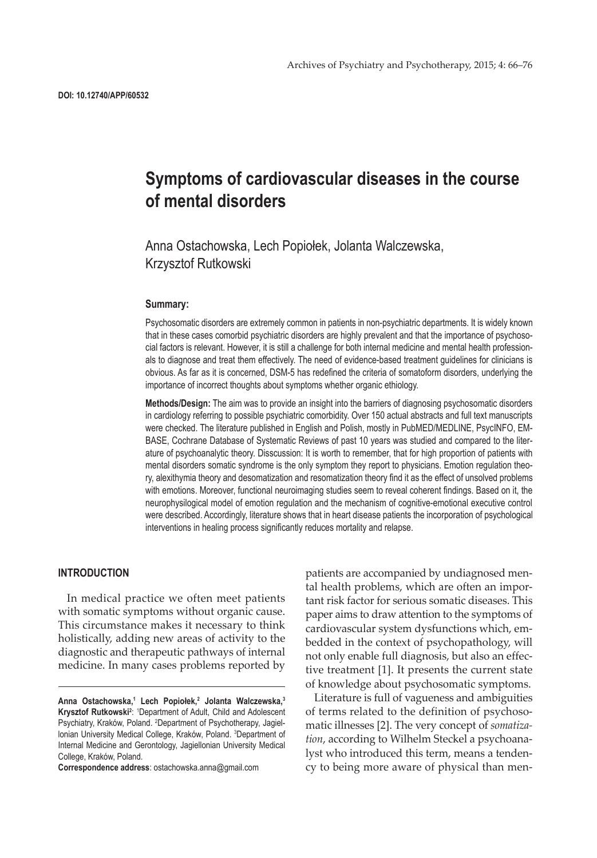# **Symptoms of cardiovascular diseases in the course of mental disorders**

# Anna Ostachowska, Lech Popiołek, Jolanta Walczewska, Krzysztof Rutkowski

#### **Summary:**

Psychosomatic disorders are extremely common in patients in non-psychiatric departments. It is widely known that in these cases comorbid psychiatric disorders are highly prevalent and that the importance of psychosocial factors is relevant. However, it is still a challenge for both internal medicine and mental health professionals to diagnose and treat them effectively. The need of evidence-based treatment guidelines for clinicians is obvious. As far as it is concerned, DSM-5 has redefined the criteria of somatoform disorders, underlying the importance of incorrect thoughts about symptoms whether organic ethiology.

**Methods/Design:** The aim was to provide an insight into the barriers of diagnosing psychosomatic disorders in cardiology referring to possible psychiatric comorbidity. Over 150 actual abstracts and full text manuscripts were checked. The literature published in English and Polish, mostly in PubMED/MEDLINE, PsycINFO, EM-BASE, Cochrane Database of Systematic Reviews of past 10 years was studied and compared to the literature of psychoanalytic theory. Disscussion: It is worth to remember, that for high proportion of patients with mental disorders somatic syndrome is the only symptom they report to physicians. Emotion regulation theory, alexithymia theory and desomatization and resomatization theory find it as the effect of unsolved problems with emotions. Moreover, functional neuroimaging studies seem to reveal coherent findings. Based on it, the neurophysilogical model of emotion regulation and the mechanism of cognitive-emotional executive control were described. Accordingly, literature shows that in heart disease patients the incorporation of psychological interventions in healing process significantly reduces mortality and relapse.

# **INTRODUCTION**

In medical practice we often meet patients with somatic symptoms without organic cause. This circumstance makes it necessary to think holistically, adding new areas of activity to the diagnostic and therapeutic pathways of internal medicine. In many cases problems reported by

**Correspondence address**: ostachowska.anna@gmail.com

patients are accompanied by undiagnosed mental health problems, which are often an important risk factor for serious somatic diseases. This paper aims to draw attention to the symptoms of cardiovascular system dysfunctions which, embedded in the context of psychopathology, will not only enable full diagnosis, but also an effective treatment [1]. It presents the current state of knowledge about psychosomatic symptoms.

Literature is full of vagueness and ambiguities of terms related to the definition of psychosomatic illnesses [2]. The very concept of *somatization*, according to Wilhelm Steckel a psychoanalyst who introduced this term, means a tendency to being more aware of physical than men-

**Anna Ostachowska,1 Lech Popiołek,<sup>2</sup> Jolanta Walczewska,<sup>3</sup>** Krysztof Rutkowski<sup>2</sup>: <sup>1</sup>Department of Adult, Child and Adolescent Psychiatry, Kraków, Poland. <sup>2</sup>Department of Psychotherapy, Jagiellonian University Medical College, Kraków, Poland. 3 Department of Internal Medicine and Gerontology, Jagiellonian University Medical College, Kraków, Poland.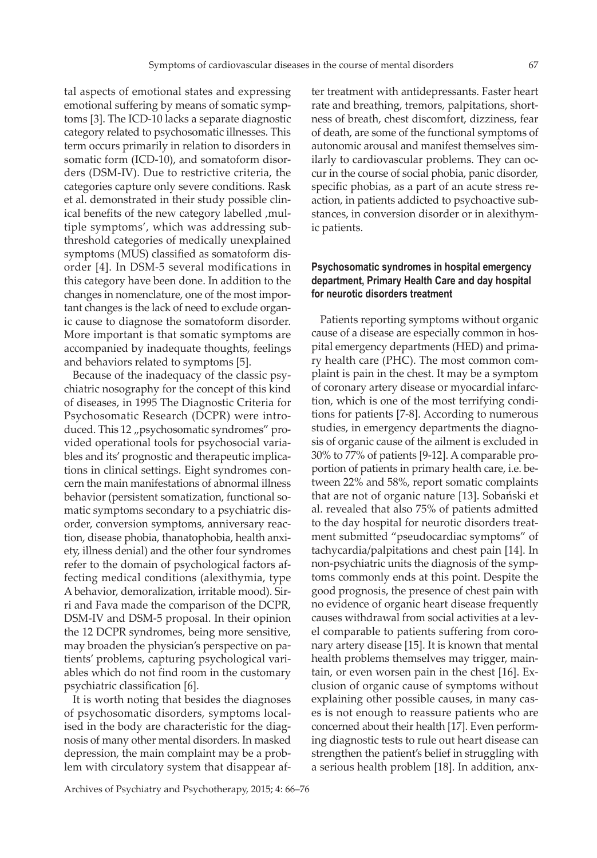tal aspects of emotional states and expressing emotional suffering by means of somatic symptoms [3]. The ICD-10 lacks a separate diagnostic category related to psychosomatic illnesses. This term occurs primarily in relation to disorders in somatic form (ICD-10), and somatoform disorders (DSM-IV). Due to restrictive criteria, the categories capture only severe conditions. Rask et al. demonstrated in their study possible clinical benefits of the new category labelled , multiple symptoms', which was addressing subthreshold categories of medically unexplained symptoms (MUS) classified as somatoform disorder [4]. In DSM-5 several modifications in this category have been done. In addition to the changes in nomenclature, one of the most important changes is the lack of need to exclude organic cause to diagnose the somatoform disorder. More important is that somatic symptoms are accompanied by inadequate thoughts, feelings and behaviors related to symptoms [5].

Because of the inadequacy of the classic psychiatric nosography for the concept of this kind of diseases, in 1995 The Diagnostic Criteria for Psychosomatic Research (DCPR) were introduced. This 12 "psychosomatic syndromes" provided operational tools for psychosocial variables and its' prognostic and therapeutic implications in clinical settings. Eight syndromes concern the main manifestations of abnormal illness behavior (persistent somatization, functional somatic symptoms secondary to a psychiatric disorder, conversion symptoms, anniversary reaction, disease phobia, thanatophobia, health anxiety, illness denial) and the other four syndromes refer to the domain of psychological factors affecting medical conditions (alexithymia, type A behavior, demoralization, irritable mood). Sirri and Fava made the comparison of the DCPR, DSM-IV and DSM-5 proposal. In their opinion the 12 DCPR syndromes, being more sensitive, may broaden the physician's perspective on patients' problems, capturing psychological variables which do not find room in the customary psychiatric classification [6].

It is worth noting that besides the diagnoses of psychosomatic disorders, symptoms localised in the body are characteristic for the diagnosis of many other mental disorders. In masked depression, the main complaint may be a problem with circulatory system that disappear af-

ter treatment with antidepressants. Faster heart rate and breathing, tremors, palpitations, shortness of breath, chest discomfort, dizziness, fear of death, are some of the functional symptoms of autonomic arousal and manifest themselves similarly to cardiovascular problems. They can occur in the course of social phobia, panic disorder, specific phobias, as a part of an acute stress reaction, in patients addicted to psychoactive substances, in conversion disorder or in alexithymic patients.

# **Psychosomatic syndromes in hospital emergency department, Primary Health Care and day hospital for neurotic disorders treatment**

Patients reporting symptoms without organic cause of a disease are especially common in hospital emergency departments (HED) and primary health care (PHC). The most common complaint is pain in the chest. It may be a symptom of coronary artery disease or myocardial infarction, which is one of the most terrifying conditions for patients [7-8]. According to numerous studies, in emergency departments the diagnosis of organic cause of the ailment is excluded in 30% to 77% of patients [9-12]. A comparable proportion of patients in primary health care, i.e. between 22% and 58%, report somatic complaints that are not of organic nature [13]. Sobański et al. revealed that also 75% of patients admitted to the day hospital for neurotic disorders treatment submitted "pseudocardiac symptoms" of tachycardia/palpitations and chest pain [14]. In non-psychiatric units the diagnosis of the symptoms commonly ends at this point. Despite the good prognosis, the presence of chest pain with no evidence of organic heart disease frequently causes withdrawal from social activities at a level comparable to patients suffering from coronary artery disease [15]. It is known that mental health problems themselves may trigger, maintain, or even worsen pain in the chest [16]. Exclusion of organic cause of symptoms without explaining other possible causes, in many cases is not enough to reassure patients who are concerned about their health [17]. Even performing diagnostic tests to rule out heart disease can strengthen the patient's belief in struggling with a serious health problem [18]. In addition, anx-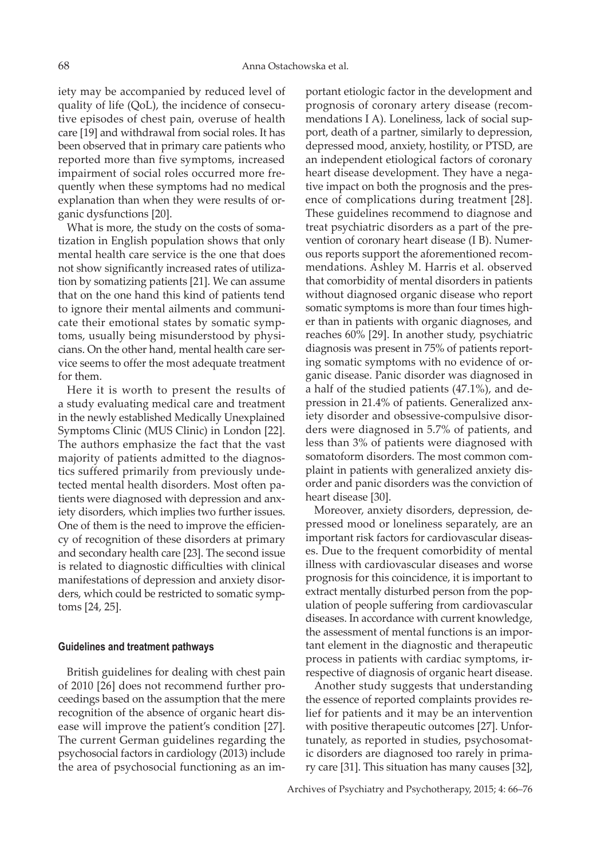iety may be accompanied by reduced level of quality of life (QoL), the incidence of consecutive episodes of chest pain, overuse of health care [19] and withdrawal from social roles. It has been observed that in primary care patients who reported more than five symptoms, increased impairment of social roles occurred more frequently when these symptoms had no medical explanation than when they were results of organic dysfunctions [20].

What is more, the study on the costs of somatization in English population shows that only mental health care service is the one that does not show significantly increased rates of utilization by somatizing patients [21]. We can assume that on the one hand this kind of patients tend to ignore their mental ailments and communicate their emotional states by somatic symptoms, usually being misunderstood by physicians. On the other hand, mental health care service seems to offer the most adequate treatment for them.

Here it is worth to present the results of a study evaluating medical care and treatment in the newly established Medically Unexplained Symptoms Clinic (MUS Clinic) in London [22]. The authors emphasize the fact that the vast majority of patients admitted to the diagnostics suffered primarily from previously undetected mental health disorders. Most often patients were diagnosed with depression and anxiety disorders, which implies two further issues. One of them is the need to improve the efficiency of recognition of these disorders at primary and secondary health care [23]. The second issue is related to diagnostic difficulties with clinical manifestations of depression and anxiety disorders, which could be restricted to somatic symptoms [24, 25].

#### **Guidelines and treatment pathways**

British guidelines for dealing with chest pain of 2010 [26] does not recommend further proceedings based on the assumption that the mere recognition of the absence of organic heart disease will improve the patient's condition [27]. The current German guidelines regarding the psychosocial factors in cardiology (2013) include the area of psychosocial functioning as an important etiologic factor in the development and prognosis of coronary artery disease (recommendations I A). Loneliness, lack of social support, death of a partner, similarly to depression, depressed mood, anxiety, hostility, or PTSD, are an independent etiological factors of coronary heart disease development. They have a negative impact on both the prognosis and the presence of complications during treatment [28]. These guidelines recommend to diagnose and treat psychiatric disorders as a part of the prevention of coronary heart disease (I B). Numerous reports support the aforementioned recommendations. Ashley M. Harris et al. observed that comorbidity of mental disorders in patients without diagnosed organic disease who report somatic symptoms is more than four times higher than in patients with organic diagnoses, and reaches 60% [29]. In another study, psychiatric diagnosis was present in 75% of patients reporting somatic symptoms with no evidence of organic disease. Panic disorder was diagnosed in a half of the studied patients (47.1%), and depression in 21.4% of patients. Generalized anxiety disorder and obsessive-compulsive disorders were diagnosed in 5.7% of patients, and less than 3% of patients were diagnosed with somatoform disorders. The most common complaint in patients with generalized anxiety disorder and panic disorders was the conviction of heart disease [30].

Moreover, anxiety disorders, depression, depressed mood or loneliness separately, are an important risk factors for cardiovascular diseases. Due to the frequent comorbidity of mental illness with cardiovascular diseases and worse prognosis for this coincidence, it is important to extract mentally disturbed person from the population of people suffering from cardiovascular diseases. In accordance with current knowledge, the assessment of mental functions is an important element in the diagnostic and therapeutic process in patients with cardiac symptoms, irrespective of diagnosis of organic heart disease.

Another study suggests that understanding the essence of reported complaints provides relief for patients and it may be an intervention with positive therapeutic outcomes [27]. Unfortunately, as reported in studies, psychosomatic disorders are diagnosed too rarely in primary care [31]. This situation has many causes [32],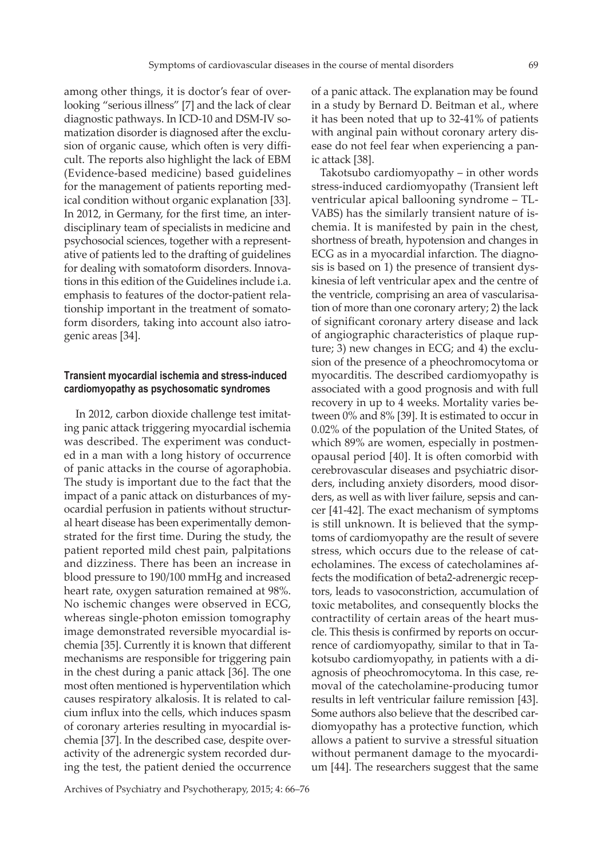among other things, it is doctor's fear of overlooking "serious illness" [7] and the lack of clear diagnostic pathways. In ICD-10 and DSM-IV somatization disorder is diagnosed after the exclusion of organic cause, which often is very difficult. The reports also highlight the lack of EBM (Evidence-based medicine) based guidelines for the management of patients reporting medical condition without organic explanation [33]. In 2012, in Germany, for the first time, an interdisciplinary team of specialists in medicine and psychosocial sciences, together with a representative of patients led to the drafting of guidelines for dealing with somatoform disorders. Innovations in this edition of the Guidelines include i.a. emphasis to features of the doctor-patient relationship important in the treatment of somatoform disorders, taking into account also iatrogenic areas [34].

# **Transient myocardial ischemia and stress-induced cardiomyopathy as psychosomatic syndromes**

In 2012, carbon dioxide challenge test imitating panic attack triggering myocardial ischemia was described. The experiment was conducted in a man with a long history of occurrence of panic attacks in the course of agoraphobia. The study is important due to the fact that the impact of a panic attack on disturbances of myocardial perfusion in patients without structural heart disease has been experimentally demonstrated for the first time. During the study, the patient reported mild chest pain, palpitations and dizziness. There has been an increase in blood pressure to 190/100 mmHg and increased heart rate, oxygen saturation remained at 98%. No ischemic changes were observed in ECG, whereas single-photon emission tomography image demonstrated reversible myocardial ischemia [35]. Currently it is known that different mechanisms are responsible for triggering pain in the chest during a panic attack [36]. The one most often mentioned is hyperventilation which causes respiratory alkalosis. It is related to calcium influx into the cells, which induces spasm of coronary arteries resulting in myocardial ischemia [37]. In the described case, despite overactivity of the adrenergic system recorded during the test, the patient denied the occurrence

of a panic attack. The explanation may be found in a study by Bernard D. Beitman et al., where it has been noted that up to 32-41% of patients with anginal pain without coronary artery disease do not feel fear when experiencing a panic attack [38].

Takotsubo cardiomyopathy – in other words stress-induced cardiomyopathy (Transient left ventricular apical ballooning syndrome – TL-VABS) has the similarly transient nature of ischemia. It is manifested by pain in the chest, shortness of breath, hypotension and changes in ECG as in a myocardial infarction. The diagnosis is based on 1) the presence of transient dyskinesia of left ventricular apex and the centre of the ventricle, comprising an area of vascularisation of more than one coronary artery; 2) the lack of significant coronary artery disease and lack of angiographic characteristics of plaque rupture; 3) new changes in ECG; and 4) the exclusion of the presence of a pheochromocytoma or myocarditis. The described cardiomyopathy is associated with a good prognosis and with full recovery in up to 4 weeks. Mortality varies between 0% and 8% [39]. It is estimated to occur in 0.02% of the population of the United States, of which 89% are women, especially in postmenopausal period [40]. It is often comorbid with cerebrovascular diseases and psychiatric disorders, including anxiety disorders, mood disorders, as well as with liver failure, sepsis and cancer [41-42]. The exact mechanism of symptoms is still unknown. It is believed that the symptoms of cardiomyopathy are the result of severe stress, which occurs due to the release of catecholamines. The excess of catecholamines affects the modification of beta2-adrenergic receptors, leads to vasoconstriction, accumulation of toxic metabolites, and consequently blocks the contractility of certain areas of the heart muscle. This thesis is confirmed by reports on occurrence of cardiomyopathy, similar to that in Takotsubo cardiomyopathy, in patients with a diagnosis of pheochromocytoma. In this case, removal of the catecholamine-producing tumor results in left ventricular failure remission [43]. Some authors also believe that the described cardiomyopathy has a protective function, which allows a patient to survive a stressful situation without permanent damage to the myocardium [44]. The researchers suggest that the same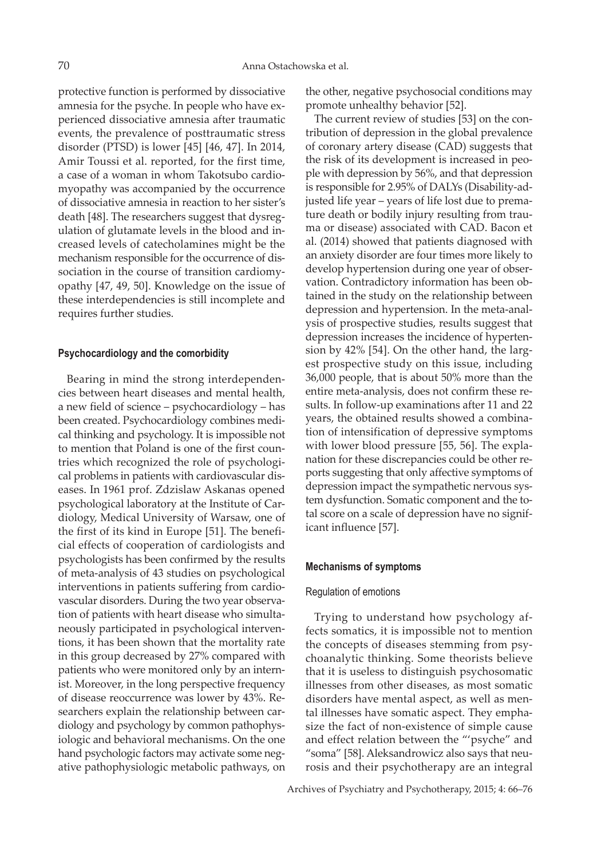protective function is performed by dissociative amnesia for the psyche. In people who have experienced dissociative amnesia after traumatic events, the prevalence of posttraumatic stress disorder (PTSD) is lower [45] [46, 47]. In 2014, Amir Toussi et al. reported, for the first time, a case of a woman in whom Takotsubo cardiomyopathy was accompanied by the occurrence of dissociative amnesia in reaction to her sister's death [48]. The researchers suggest that dysregulation of glutamate levels in the blood and increased levels of catecholamines might be the mechanism responsible for the occurrence of dissociation in the course of transition cardiomyopathy [47, 49, 50]. Knowledge on the issue of these interdependencies is still incomplete and requires further studies.

#### **Psychocardiology and the comorbidity**

Bearing in mind the strong interdependencies between heart diseases and mental health, a new field of science – psychocardiology – has been created. Psychocardiology combines medical thinking and psychology. It is impossible not to mention that Poland is one of the first countries which recognized the role of psychological problems in patients with cardiovascular diseases. In 1961 prof. Zdzislaw Askanas opened psychological laboratory at the Institute of Cardiology, Medical University of Warsaw, one of the first of its kind in Europe [51]. The beneficial effects of cooperation of cardiologists and psychologists has been confirmed by the results of meta-analysis of 43 studies on psychological interventions in patients suffering from cardiovascular disorders. During the two year observation of patients with heart disease who simultaneously participated in psychological interventions, it has been shown that the mortality rate in this group decreased by 27% compared with patients who were monitored only by an internist. Moreover, in the long perspective frequency of disease reoccurrence was lower by 43%. Researchers explain the relationship between cardiology and psychology by common pathophysiologic and behavioral mechanisms. On the one hand psychologic factors may activate some negative pathophysiologic metabolic pathways, on

the other, negative psychosocial conditions may promote unhealthy behavior [52].

The current review of studies [53] on the contribution of depression in the global prevalence of coronary artery disease (CAD) suggests that the risk of its development is increased in people with depression by 56%, and that depression is responsible for 2.95% of DALYs (Disability-adjusted life year – years of life lost due to premature death or bodily injury resulting from trauma or disease) associated with CAD. Bacon et al. (2014) showed that patients diagnosed with an anxiety disorder are four times more likely to develop hypertension during one year of observation. Contradictory information has been obtained in the study on the relationship between depression and hypertension. In the meta-analysis of prospective studies, results suggest that depression increases the incidence of hypertension by 42% [54]. On the other hand, the largest prospective study on this issue, including 36,000 people, that is about 50% more than the entire meta-analysis, does not confirm these results. In follow-up examinations after 11 and 22 years, the obtained results showed a combination of intensification of depressive symptoms with lower blood pressure [55, 56]. The explanation for these discrepancies could be other reports suggesting that only affective symptoms of depression impact the sympathetic nervous system dysfunction. Somatic component and the total score on a scale of depression have no significant influence [57].

#### **Mechanisms of symptoms**

#### Regulation of emotions

Trying to understand how psychology affects somatics, it is impossible not to mention the concepts of diseases stemming from psychoanalytic thinking. Some theorists believe that it is useless to distinguish psychosomatic illnesses from other diseases, as most somatic disorders have mental aspect, as well as mental illnesses have somatic aspect. They emphasize the fact of non-existence of simple cause and effect relation between the "'psyche" and "soma" [58]. Aleksandrowicz also says that neurosis and their psychotherapy are an integral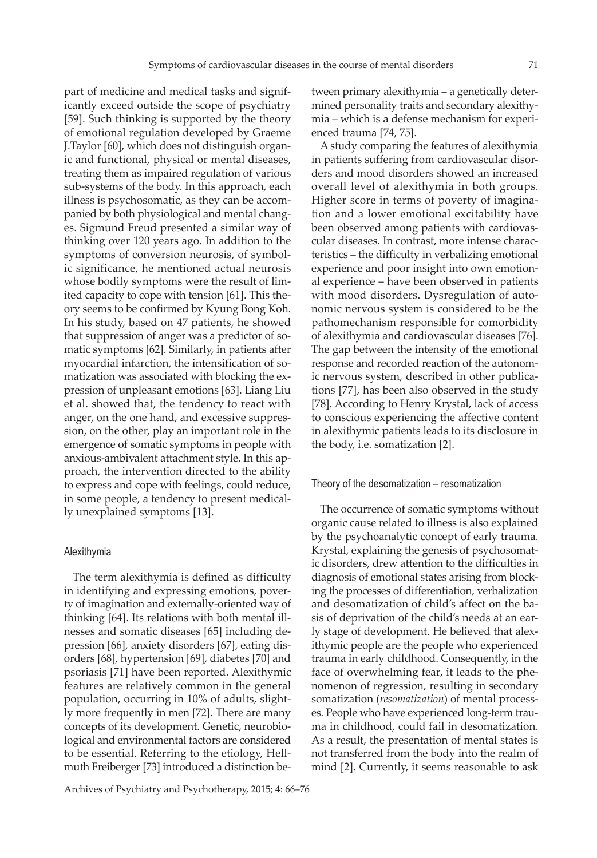part of medicine and medical tasks and significantly exceed outside the scope of psychiatry [59]. Such thinking is supported by the theory of emotional regulation developed by Graeme J.Taylor [60], which does not distinguish organic and functional, physical or mental diseases, treating them as impaired regulation of various sub-systems of the body. In this approach, each illness is psychosomatic, as they can be accompanied by both physiological and mental changes. Sigmund Freud presented a similar way of thinking over 120 years ago. In addition to the symptoms of conversion neurosis, of symbolic significance, he mentioned actual neurosis whose bodily symptoms were the result of limited capacity to cope with tension [61]. This theory seems to be confirmed by Kyung Bong Koh. In his study, based on 47 patients, he showed that suppression of anger was a predictor of somatic symptoms [62]. Similarly, in patients after myocardial infarction, the intensification of somatization was associated with blocking the expression of unpleasant emotions [63]. Liang Liu et al. showed that, the tendency to react with anger, on the one hand, and excessive suppression, on the other, play an important role in the emergence of somatic symptoms in people with anxious-ambivalent attachment style. In this approach, the intervention directed to the ability to express and cope with feelings, could reduce, in some people, a tendency to present medically unexplained symptoms [13].

#### Alexithymia

The term alexithymia is defined as difficulty in identifying and expressing emotions, poverty of imagination and externally-oriented way of thinking [64]. Its relations with both mental illnesses and somatic diseases [65] including depression [66], anxiety disorders [67], eating disorders [68], hypertension [69], diabetes [70] and psoriasis [71] have been reported. Alexithymic features are relatively common in the general population, occurring in 10% of adults, slightly more frequently in men [72]. There are many concepts of its development. Genetic, neurobiological and environmental factors are considered to be essential. Referring to the etiology, Hellmuth Freiberger [73] introduced a distinction between primary alexithymia – a genetically determined personality traits and secondary alexithymia – which is a defense mechanism for experienced trauma [74, 75].

A study comparing the features of alexithymia in patients suffering from cardiovascular disorders and mood disorders showed an increased overall level of alexithymia in both groups. Higher score in terms of poverty of imagination and a lower emotional excitability have been observed among patients with cardiovascular diseases. In contrast, more intense characteristics – the difficulty in verbalizing emotional experience and poor insight into own emotional experience – have been observed in patients with mood disorders. Dysregulation of autonomic nervous system is considered to be the pathomechanism responsible for comorbidity of alexithymia and cardiovascular diseases [76]. The gap between the intensity of the emotional response and recorded reaction of the autonomic nervous system, described in other publications [77], has been also observed in the study [78]. According to Henry Krystal, lack of access to conscious experiencing the affective content in alexithymic patients leads to its disclosure in the body, i.e. somatization [2].

#### Theory of the desomatization – resomatization

The occurrence of somatic symptoms without organic cause related to illness is also explained by the psychoanalytic concept of early trauma. Krystal, explaining the genesis of psychosomatic disorders, drew attention to the difficulties in diagnosis of emotional states arising from blocking the processes of differentiation, verbalization and desomatization of child's affect on the basis of deprivation of the child's needs at an early stage of development. He believed that alexithymic people are the people who experienced trauma in early childhood. Consequently, in the face of overwhelming fear, it leads to the phenomenon of regression, resulting in secondary somatization (*resomatization*) of mental processes. People who have experienced long-term trauma in childhood, could fail in desomatization. As a result, the presentation of mental states is not transferred from the body into the realm of mind [2]. Currently, it seems reasonable to ask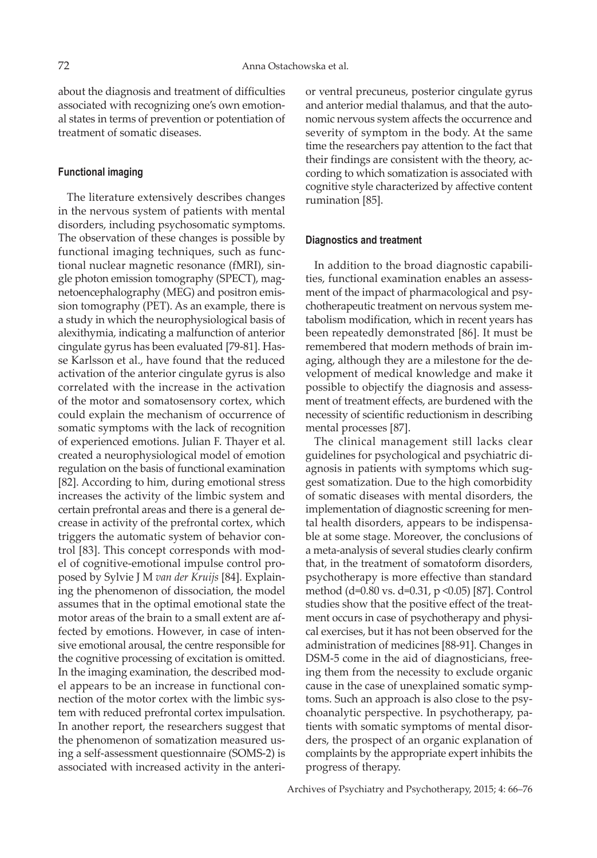about the diagnosis and treatment of difficulties associated with recognizing one's own emotional states in terms of prevention or potentiation of treatment of somatic diseases.

#### **Functional imaging**

The literature extensively describes changes in the nervous system of patients with mental disorders, including psychosomatic symptoms. The observation of these changes is possible by functional imaging techniques, such as functional nuclear magnetic resonance (fMRI), single photon emission tomography (SPECT), magnetoencephalography (MEG) and positron emission tomography (PET). As an example, there is a study in which the neurophysiological basis of alexithymia, indicating a malfunction of anterior cingulate gyrus has been evaluated [79-81]. Hasse Karlsson et al., have found that the reduced activation of the anterior cingulate gyrus is also correlated with the increase in the activation of the motor and somatosensory cortex, which could explain the mechanism of occurrence of somatic symptoms with the lack of recognition of experienced emotions. Julian F. Thayer et al. created a neurophysiological model of emotion regulation on the basis of functional examination [82]. According to him, during emotional stress increases the activity of the limbic system and certain prefrontal areas and there is a general decrease in activity of the prefrontal cortex, which triggers the automatic system of behavior control [83]. This concept corresponds with model of cognitive-emotional impulse control proposed by Sylvie J M *van der Kruijs* [84]. Explaining the phenomenon of dissociation, the model assumes that in the optimal emotional state the motor areas of the brain to a small extent are affected by emotions. However, in case of intensive emotional arousal, the centre responsible for the cognitive processing of excitation is omitted. In the imaging examination, the described model appears to be an increase in functional connection of the motor cortex with the limbic system with reduced prefrontal cortex impulsation. In another report, the researchers suggest that the phenomenon of somatization measured using a self-assessment questionnaire (SOMS-2) is associated with increased activity in the anterior ventral precuneus, posterior cingulate gyrus and anterior medial thalamus, and that the autonomic nervous system affects the occurrence and severity of symptom in the body. At the same time the researchers pay attention to the fact that their findings are consistent with the theory, according to which somatization is associated with cognitive style characterized by affective content rumination [85].

#### **Diagnostics and treatment**

In addition to the broad diagnostic capabilities, functional examination enables an assessment of the impact of pharmacological and psychotherapeutic treatment on nervous system metabolism modification, which in recent years has been repeatedly demonstrated [86]. It must be remembered that modern methods of brain imaging, although they are a milestone for the development of medical knowledge and make it possible to objectify the diagnosis and assessment of treatment effects, are burdened with the necessity of scientific reductionism in describing mental processes [87].

The clinical management still lacks clear guidelines for psychological and psychiatric diagnosis in patients with symptoms which suggest somatization. Due to the high comorbidity of somatic diseases with mental disorders, the implementation of diagnostic screening for mental health disorders, appears to be indispensable at some stage. Moreover, the conclusions of a meta-analysis of several studies clearly confirm that, in the treatment of somatoform disorders, psychotherapy is more effective than standard method (d=0.80 vs. d=0.31, p <0.05) [87]. Control studies show that the positive effect of the treatment occurs in case of psychotherapy and physical exercises, but it has not been observed for the administration of medicines [88-91]. Changes in DSM-5 come in the aid of diagnosticians, freeing them from the necessity to exclude organic cause in the case of unexplained somatic symptoms. Such an approach is also close to the psychoanalytic perspective. In psychotherapy, patients with somatic symptoms of mental disorders, the prospect of an organic explanation of complaints by the appropriate expert inhibits the progress of therapy.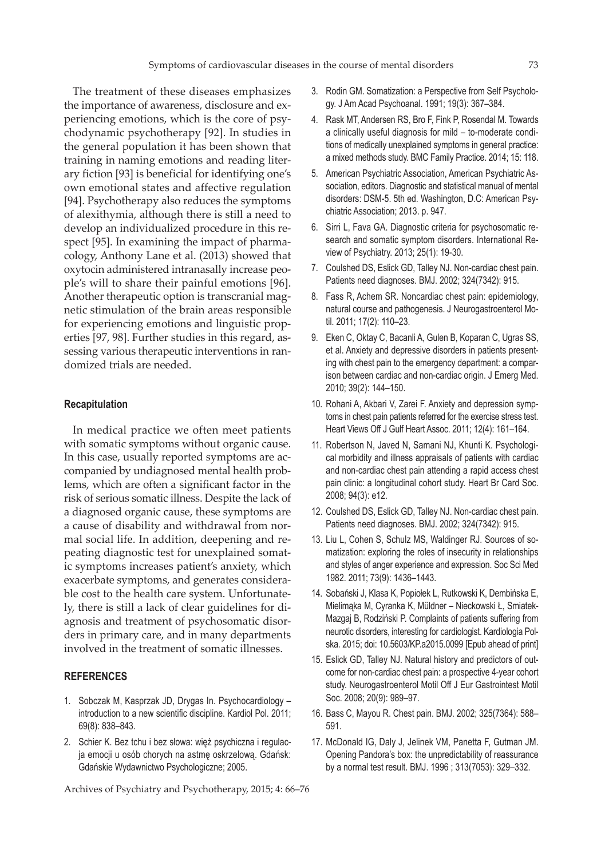The treatment of these diseases emphasizes the importance of awareness, disclosure and experiencing emotions, which is the core of psychodynamic psychotherapy [92]. In studies in the general population it has been shown that training in naming emotions and reading literary fiction [93] is beneficial for identifying one's own emotional states and affective regulation [94]. Psychotherapy also reduces the symptoms of alexithymia, although there is still a need to develop an individualized procedure in this respect [95]. In examining the impact of pharmacology, Anthony Lane et al. (2013) showed that oxytocin administered intranasally increase people's will to share their painful emotions [96]. Another therapeutic option is transcranial magnetic stimulation of the brain areas responsible for experiencing emotions and linguistic properties [97, 98]. Further studies in this regard, assessing various therapeutic interventions in randomized trials are needed.

#### **Recapitulation**

In medical practice we often meet patients with somatic symptoms without organic cause. In this case, usually reported symptoms are accompanied by undiagnosed mental health problems, which are often a significant factor in the risk of serious somatic illness. Despite the lack of a diagnosed organic cause, these symptoms are a cause of disability and withdrawal from normal social life. In addition, deepening and repeating diagnostic test for unexplained somatic symptoms increases patient's anxiety, which exacerbate symptoms, and generates considerable cost to the health care system. Unfortunately, there is still a lack of clear guidelines for diagnosis and treatment of psychosomatic disorders in primary care, and in many departments involved in the treatment of somatic illnesses.

# **REFERENCES**

- 1. Sobczak M, Kasprzak JD, Drygas In. Psychocardiology introduction to a new scientific discipline. Kardiol Pol. 2011; 69(8): 838–843.
- 2. Schier K. Bez tchu i bez słowa: więź psychiczna i regulacja emocji u osób chorych na astmę oskrzelową. Gdańsk: Gdańskie Wydawnictwo Psychologiczne; 2005.

- 3. Rodin GM. Somatization: a Perspective from Self Psychology. J Am Acad Psychoanal. 1991; 19(3): 367–384.
- 4. Rask MT, Andersen RS, Bro F, Fink P, Rosendal M. Towards a clinically useful diagnosis for mild – to-moderate conditions of medically unexplained symptoms in general practice: a mixed methods study. BMC Family Practice. 2014; 15: 118.
- 5. American Psychiatric Association, American Psychiatric Association, editors. Diagnostic and statistical manual of mental disorders: DSM-5. 5th ed. Washington, D.C: American Psychiatric Association; 2013. p. 947.
- 6. Sirri L, Fava GA. Diagnostic criteria for psychosomatic research and somatic symptom disorders. International Review of Psychiatry. 2013; 25(1): 19-30.
- 7. Coulshed DS, Eslick GD, Talley NJ. Non-cardiac chest pain. Patients need diagnoses. BMJ. 2002; 324(7342): 915.
- 8. Fass R, Achem SR. Noncardiac chest pain: epidemiology, natural course and pathogenesis. J Neurogastroenterol Motil. 2011; 17(2): 110–23.
- 9. Eken C, Oktay C, Bacanli A, Gulen B, Koparan C, Ugras SS, et al. Anxiety and depressive disorders in patients presenting with chest pain to the emergency department: a comparison between cardiac and non-cardiac origin. J Emerg Med. 2010; 39(2): 144–150.
- 10. Rohani A, Akbari V, Zarei F. Anxiety and depression symptoms in chest pain patients referred for the exercise stress test. Heart Views Off J Gulf Heart Assoc. 2011; 12(4): 161–164.
- 11. Robertson N, Javed N, Samani NJ, Khunti K. Psychological morbidity and illness appraisals of patients with cardiac and non-cardiac chest pain attending a rapid access chest pain clinic: a longitudinal cohort study. Heart Br Card Soc. 2008; 94(3): e12.
- 12. Coulshed DS, Eslick GD, Talley NJ. Non-cardiac chest pain. Patients need diagnoses. BMJ. 2002; 324(7342): 915.
- 13. Liu L, Cohen S, Schulz MS, Waldinger RJ. Sources of somatization: exploring the roles of insecurity in relationships and styles of anger experience and expression. Soc Sci Med 1982. 2011; 73(9): 1436–1443.
- 14. Sobański J, Klasa K, Popiołek L, Rutkowski K, Dembińska E, Mielimąka M, Cyranka K, Müldner – Nieckowski Ł, Smiatek-Mazgaj B, Rodziński P. Complaints of patients suffering from neurotic disorders, interesting for cardiologist. Kardiologia Polska. 2015; doi: 10.5603/KP.a2015.0099 [Epub ahead of print]
- 15. Eslick GD, Talley NJ. Natural history and predictors of outcome for non-cardiac chest pain: a prospective 4-year cohort study. Neurogastroenterol Motil Off J Eur Gastrointest Motil Soc. 2008; 20(9): 989–97.
- 16. Bass C, Mayou R. Chest pain. BMJ. 2002; 325(7364): 588– 591.
- 17. McDonald IG, Daly J, Jelinek VM, Panetta F, Gutman JM. Opening Pandora's box: the unpredictability of reassurance by a normal test result. BMJ. 1996 ; 313(7053): 329–332.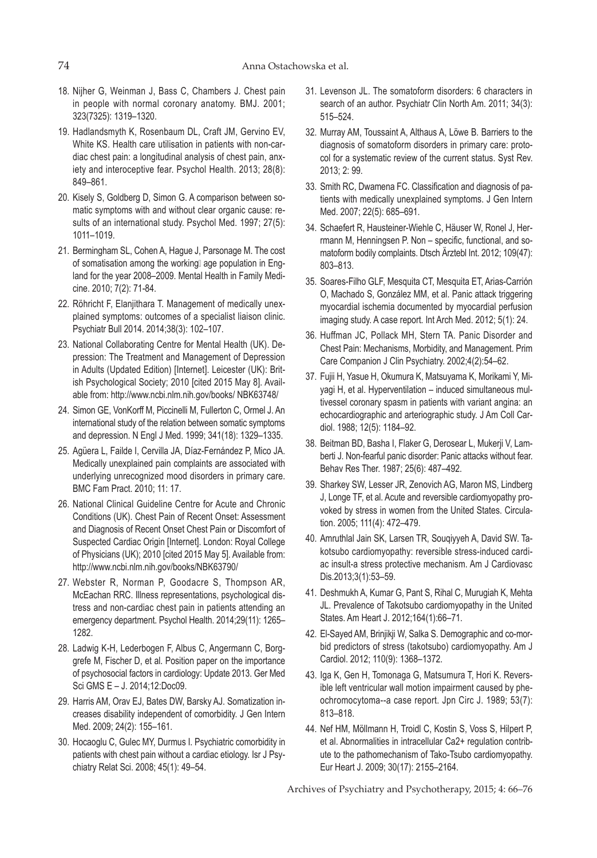- 18. Nijher G, Weinman J, Bass C, Chambers J. Chest pain in people with normal coronary anatomy. BMJ. 2001; 323(7325): 1319–1320.
- 19. Hadlandsmyth K, Rosenbaum DL, Craft JM, Gervino EV, White KS. Health care utilisation in patients with non-cardiac chest pain: a longitudinal analysis of chest pain, anxiety and interoceptive fear. Psychol Health. 2013; 28(8): 849–861.
- 20. Kisely S, Goldberg D, Simon G. A comparison between somatic symptoms with and without clear organic cause: results of an international study. Psychol Med. 1997; 27(5): 1011–1019.
- 21. Bermingham SL, Cohen A, Hague J, Parsonage M. The cost of somatisation among the working age population in England for the year 2008–2009. Mental Health in Family Medicine. 2010; 7(2): 71-84.
- 22. Röhricht F, Elanjithara T. Management of medically unexplained symptoms: outcomes of a specialist liaison clinic. Psychiatr Bull 2014. 2014;38(3): 102–107.
- 23. National Collaborating Centre for Mental Health (UK). Depression: The Treatment and Management of Depression in Adults (Updated Edition) [Internet]. Leicester (UK): British Psychological Society; 2010 [cited 2015 May 8]. Available from: http://www.ncbi.nlm.nih.gov/books/ NBK63748/
- 24. Simon GE, VonKorff M, Piccinelli M, Fullerton C, Ormel J. An international study of the relation between somatic symptoms and depression. N Engl J Med. 1999; 341(18): 1329–1335.
- 25. Agüera L, Failde I, Cervilla JA, Díaz-Fernández P, Mico JA. Medically unexplained pain complaints are associated with underlying unrecognized mood disorders in primary care. BMC Fam Pract. 2010; 11: 17.
- 26. National Clinical Guideline Centre for Acute and Chronic Conditions (UK). Chest Pain of Recent Onset: Assessment and Diagnosis of Recent Onset Chest Pain or Discomfort of Suspected Cardiac Origin [Internet]. London: Royal College of Physicians (UK); 2010 [cited 2015 May 5]. Available from: http://www.ncbi.nlm.nih.gov/books/NBK63790/
- 27. Webster R, Norman P, Goodacre S, Thompson AR, McEachan RRC. Illness representations, psychological distress and non-cardiac chest pain in patients attending an emergency department. Psychol Health. 2014;29(11): 1265– 1282.
- 28. Ladwig K-H, Lederbogen F, Albus C, Angermann C, Borggrefe M, Fischer D, et al. Position paper on the importance of psychosocial factors in cardiology: Update 2013. Ger Med Sci GMS E – J. 2014;12:Doc09.
- 29. Harris AM, Orav EJ, Bates DW, Barsky AJ. Somatization increases disability independent of comorbidity. J Gen Intern Med. 2009; 24(2): 155–161.
- 30. Hocaoglu C, Gulec MY, Durmus I. Psychiatric comorbidity in patients with chest pain without a cardiac etiology. Isr J Psychiatry Relat Sci. 2008; 45(1): 49–54.
- 31. Levenson JL. The somatoform disorders: 6 characters in search of an author. Psychiatr Clin North Am. 2011; 34(3): 515–524.
- 32. Murray AM, Toussaint A, Althaus A, Löwe B. Barriers to the diagnosis of somatoform disorders in primary care: protocol for a systematic review of the current status. Syst Rev. 2013; 2: 99.
- 33. Smith RC, Dwamena FC. Classification and diagnosis of patients with medically unexplained symptoms. J Gen Intern Med. 2007; 22(5): 685–691.
- 34. Schaefert R, Hausteiner-Wiehle C, Häuser W, Ronel J, Herrmann M, Henningsen P. Non – specific, functional, and somatoform bodily complaints. Dtsch Ärztebl Int. 2012; 109(47): 803–813.
- 35. Soares-Filho GLF, Mesquita CT, Mesquita ET, Arias-Carrión O, Machado S, González MM, et al. Panic attack triggering myocardial ischemia documented by myocardial perfusion imaging study. A case report. Int Arch Med. 2012; 5(1): 24.
- 36. Huffman JC, Pollack MH, Stern TA. Panic Disorder and Chest Pain: Mechanisms, Morbidity, and Management. Prim Care Companion J Clin Psychiatry. 2002;4(2):54–62.
- 37. Fujii H, Yasue H, Okumura K, Matsuyama K, Morikami Y, Miyagi H, et al. Hyperventilation – induced simultaneous multivessel coronary spasm in patients with variant angina: an echocardiographic and arteriographic study. J Am Coll Cardiol. 1988; 12(5): 1184–92.
- 38. Beitman BD, Basha I, Flaker G, Derosear L, Mukerji V, Lamberti J. Non-fearful panic disorder: Panic attacks without fear. Behav Res Ther. 1987; 25(6): 487–492.
- 39. Sharkey SW, Lesser JR, Zenovich AG, Maron MS, Lindberg J, Longe TF, et al. Acute and reversible cardiomyopathy provoked by stress in women from the United States. Circulation. 2005; 111(4): 472–479.
- 40. Amruthlal Jain SK, Larsen TR, Souqiyyeh A, David SW. Takotsubo cardiomyopathy: reversible stress-induced cardiac insult-a stress protective mechanism. Am J Cardiovasc Dis.2013;3(1):53–59.
- 41. Deshmukh A, Kumar G, Pant S, Rihal C, Murugiah K, Mehta JL. Prevalence of Takotsubo cardiomyopathy in the United States. Am Heart J. 2012;164(1):66–71.
- 42. El-Sayed AM, Brinjikji W, Salka S. Demographic and co-morbid predictors of stress (takotsubo) cardiomyopathy. Am J Cardiol. 2012; 110(9): 1368–1372.
- 43. Iga K, Gen H, Tomonaga G, Matsumura T, Hori K. Reversible left ventricular wall motion impairment caused by pheochromocytoma--a case report. Jpn Circ J. 1989; 53(7): 813–818.
- 44. Nef HM, Möllmann H, Troidl C, Kostin S, Voss S, Hilpert P, et al. Abnormalities in intracellular Ca2+ regulation contribute to the pathomechanism of Tako-Tsubo cardiomyopathy. Eur Heart J. 2009; 30(17): 2155–2164.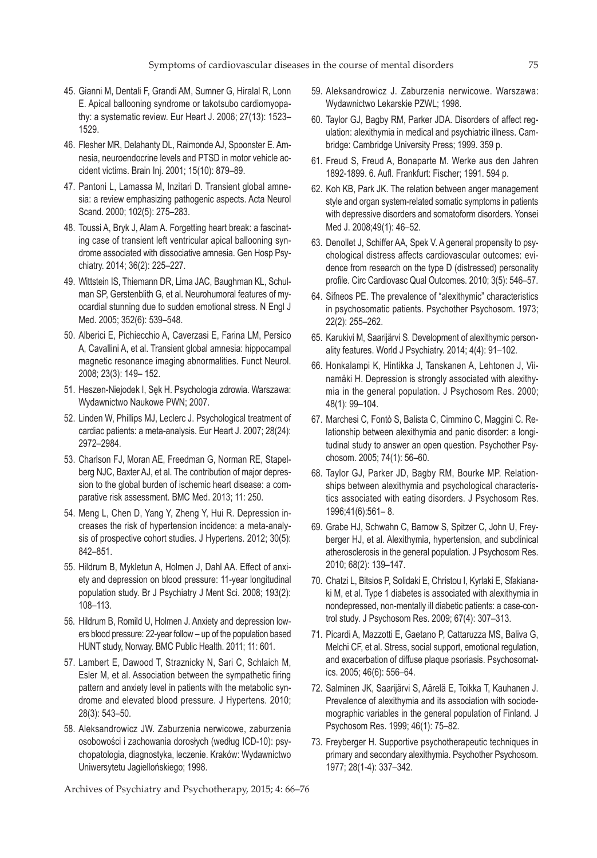- 45. Gianni M, Dentali F, Grandi AM, Sumner G, Hiralal R, Lonn E. Apical ballooning syndrome or takotsubo cardiomyopathy: a systematic review. Eur Heart J. 2006; 27(13): 1523– 1529.
- 46. Flesher MR, Delahanty DL, Raimonde AJ, Spoonster E. Amnesia, neuroendocrine levels and PTSD in motor vehicle accident victims. Brain Inj. 2001; 15(10): 879–89.
- 47. Pantoni L, Lamassa M, Inzitari D. Transient global amnesia: a review emphasizing pathogenic aspects. Acta Neurol Scand. 2000; 102(5): 275–283.
- 48. Toussi A, Bryk J, Alam A. Forgetting heart break: a fascinating case of transient left ventricular apical ballooning syndrome associated with dissociative amnesia. Gen Hosp Psychiatry. 2014; 36(2): 225–227.
- 49. Wittstein IS, Thiemann DR, Lima JAC, Baughman KL, Schulman SP, Gerstenblith G, et al. Neurohumoral features of myocardial stunning due to sudden emotional stress. N Engl J Med. 2005; 352(6): 539–548.
- 50. Alberici E, Pichiecchio A, Caverzasi E, Farina LM, Persico A, Cavallini A, et al. Transient global amnesia: hippocampal magnetic resonance imaging abnormalities. Funct Neurol. 2008; 23(3): 149– 152.
- 51. Heszen-Niejodek I, Sęk H. Psychologia zdrowia. Warszawa: Wydawnictwo Naukowe PWN; 2007.
- 52. Linden W, Phillips MJ, Leclerc J. Psychological treatment of cardiac patients: a meta-analysis. Eur Heart J. 2007; 28(24): 2972–2984.
- 53. Charlson FJ, Moran AE, Freedman G, Norman RE, Stapelberg NJC, Baxter AJ, et al. The contribution of major depression to the global burden of ischemic heart disease: a comparative risk assessment. BMC Med. 2013; 11: 250.
- 54. Meng L, Chen D, Yang Y, Zheng Y, Hui R. Depression increases the risk of hypertension incidence: a meta-analysis of prospective cohort studies. J Hypertens. 2012; 30(5): 842–851.
- 55. Hildrum B, Mykletun A, Holmen J, Dahl AA. Effect of anxiety and depression on blood pressure: 11-year longitudinal population study. Br J Psychiatry J Ment Sci. 2008; 193(2): 108–113.
- 56. Hildrum B, Romild U, Holmen J. Anxiety and depression lowers blood pressure: 22-year follow – up of the population based HUNT study, Norway. BMC Public Health. 2011; 11: 601.
- 57. Lambert E, Dawood T, Straznicky N, Sari C, Schlaich M, Esler M, et al. Association between the sympathetic firing pattern and anxiety level in patients with the metabolic syndrome and elevated blood pressure. J Hypertens. 2010; 28(3): 543–50.
- 58. Aleksandrowicz JW. Zaburzenia nerwicowe, zaburzenia osobowości i zachowania dorosłych (według ICD-10): psychopatologia, diagnostyka, leczenie. Kraków: Wydawnictwo Uniwersytetu Jagiellońskiego; 1998.
- 59. Aleksandrowicz J. Zaburzenia nerwicowe. Warszawa: Wydawnictwo Lekarskie PZWL; 1998.
- 60. Taylor GJ, Bagby RM, Parker JDA. Disorders of affect regulation: alexithymia in medical and psychiatric illness. Cambridge: Cambridge University Press; 1999. 359 p.
- 61. Freud S, Freud A, Bonaparte M. Werke aus den Jahren 1892-1899. 6. Aufl. Frankfurt: Fischer; 1991. 594 p.
- 62. Koh KB, Park JK. The relation between anger management style and organ system-related somatic symptoms in patients with depressive disorders and somatoform disorders. Yonsei Med J. 2008;49(1): 46–52.
- 63. Denollet J, Schiffer AA, Spek V. A general propensity to psychological distress affects cardiovascular outcomes: evidence from research on the type D (distressed) personality profile. Circ Cardiovasc Qual Outcomes. 2010; 3(5): 546–57.
- 64. Sifneos PE. The prevalence of "alexithymic" characteristics in psychosomatic patients. Psychother Psychosom. 1973; 22(2): 255–262.
- 65. Karukivi M, Saarijärvi S. Development of alexithymic personality features. World J Psychiatry. 2014; 4(4): 91–102.
- 66. Honkalampi K, Hintikka J, Tanskanen A, Lehtonen J, Viinamäki H. Depression is strongly associated with alexithymia in the general population. J Psychosom Res. 2000; 48(1): 99–104.
- 67. Marchesi C, Fontò S, Balista C, Cimmino C, Maggini C. Relationship between alexithymia and panic disorder: a longitudinal study to answer an open question. Psychother Psychosom. 2005; 74(1): 56–60.
- 68. Taylor GJ, Parker JD, Bagby RM, Bourke MP. Relationships between alexithymia and psychological characteristics associated with eating disorders. J Psychosom Res. 1996;41(6):561– 8.
- 69. Grabe HJ, Schwahn C, Barnow S, Spitzer C, John U, Freyberger HJ, et al. Alexithymia, hypertension, and subclinical atherosclerosis in the general population. J Psychosom Res. 2010; 68(2): 139–147.
- 70. Chatzi L, Bitsios P, Solidaki E, Christou I, Kyrlaki E, Sfakianaki M, et al. Type 1 diabetes is associated with alexithymia in nondepressed, non-mentally ill diabetic patients: a case-control study. J Psychosom Res. 2009; 67(4): 307–313.
- 71. Picardi A, Mazzotti E, Gaetano P, Cattaruzza MS, Baliva G, Melchi CF, et al. Stress, social support, emotional regulation, and exacerbation of diffuse plaque psoriasis. Psychosomatics. 2005; 46(6): 556–64.
- 72. Salminen JK, Saarijärvi S, Aärelä E, Toikka T, Kauhanen J. Prevalence of alexithymia and its association with sociodemographic variables in the general population of Finland. J Psychosom Res. 1999; 46(1): 75–82.
- 73. Freyberger H. Supportive psychotherapeutic techniques in primary and secondary alexithymia. Psychother Psychosom. 1977; 28(1-4): 337–342.